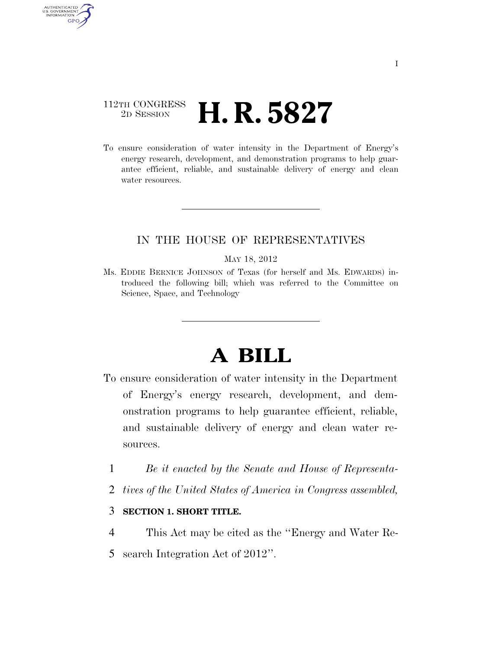## 112TH CONGRESS <sup>2D SESSION</sup> **H. R. 5827**

AUTHENTICATED<br>U.S. GOVERNMENT<br>INFORMATION

**GPO** 

To ensure consideration of water intensity in the Department of Energy's energy research, development, and demonstration programs to help guarantee efficient, reliable, and sustainable delivery of energy and clean water resources.

## IN THE HOUSE OF REPRESENTATIVES

## MAY 18, 2012

Ms. EDDIE BERNICE JOHNSON of Texas (for herself and Ms. EDWARDS) introduced the following bill; which was referred to the Committee on Science, Space, and Technology

# **A BILL**

- To ensure consideration of water intensity in the Department of Energy's energy research, development, and demonstration programs to help guarantee efficient, reliable, and sustainable delivery of energy and clean water resources.
	- 1 *Be it enacted by the Senate and House of Representa-*
	- 2 *tives of the United States of America in Congress assembled,*

## 3 **SECTION 1. SHORT TITLE.**

- 4 This Act may be cited as the ''Energy and Water Re-
- 5 search Integration Act of 2012''.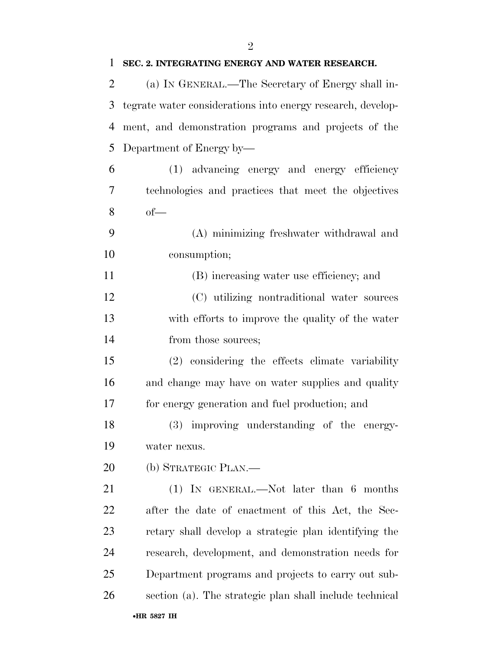| $\overline{2}$ | (a) IN GENERAL.—The Secretary of Energy shall in-           |
|----------------|-------------------------------------------------------------|
| 3              | tegrate water considerations into energy research, develop- |
| 4              | ment, and demonstration programs and projects of the        |
| 5              | Department of Energy by-                                    |
| 6              | (1) advancing energy and energy efficiency                  |
| 7              | technologies and practices that meet the objectives         |
| 8              | $of$ —                                                      |
| 9              | (A) minimizing freshwater withdrawal and                    |
| 10             | consumption;                                                |
| 11             | (B) increasing water use efficiency; and                    |
| 12             | (C) utilizing nontraditional water sources                  |
| 13             | with efforts to improve the quality of the water            |
| 14             | from those sources;                                         |
| 15             | (2) considering the effects climate variability             |
| 16             | and change may have on water supplies and quality           |
| 17             | for energy generation and fuel production; and              |
| 18             | (3) improving understanding of the energy-                  |
| 19             | water nexus.                                                |
| 20             | (b) STRATEGIC PLAN.—                                        |
| 21             | $(1)$ IN GENERAL.—Not later than 6 months                   |
| 22             | after the date of enactment of this Act, the Sec-           |
| 23             | retary shall develop a strategic plan identifying the       |
| 24             | research, development, and demonstration needs for          |
| 25             | Department programs and projects to carry out sub-          |
| 26             | section (a). The strategic plan shall include technical     |
|                | •HR 5827 IH                                                 |

## **SEC. 2. INTEGRATING ENERGY AND WATER RESEARCH.**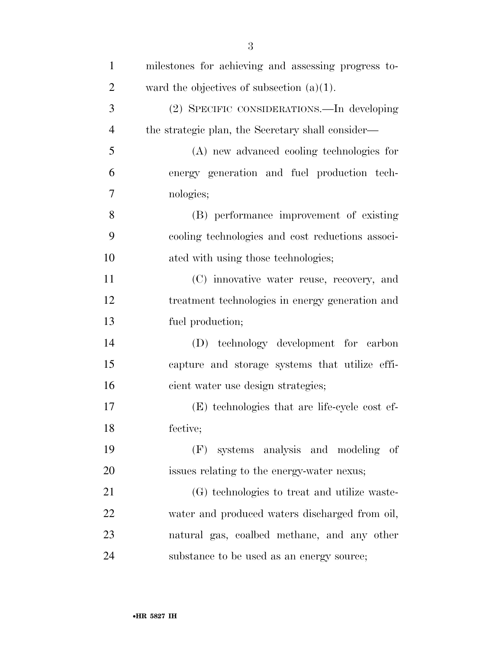| $\mathbf{1}$   | milestones for achieving and assessing progress to- |
|----------------|-----------------------------------------------------|
| $\overline{2}$ | ward the objectives of subsection $(a)(1)$ .        |
| 3              | (2) SPECIFIC CONSIDERATIONS.—In developing          |
| $\overline{4}$ | the strategic plan, the Secretary shall consider—   |
| 5              | (A) new advanced cooling technologies for           |
| 6              | energy generation and fuel production tech-         |
| $\overline{7}$ | nologies;                                           |
| 8              | (B) performance improvement of existing             |
| 9              | cooling technologies and cost reductions associ-    |
| 10             | ated with using those technologies;                 |
| 11             | (C) innovative water reuse, recovery, and           |
| 12             | treatment technologies in energy generation and     |
| 13             | fuel production;                                    |
| 14             | (D) technology development for carbon               |
| 15             | capture and storage systems that utilize effi-      |
| 16             | cient water use design strategies;                  |
| 17             | (E) technologies that are life-cycle cost ef-       |
| 18             | fective;                                            |
| 19             | systems analysis and modeling<br>of<br>(F)          |
| 20             | issues relating to the energy-water nexus;          |
| 21             | (G) technologies to treat and utilize was te-       |
| 22             | water and produced waters discharged from oil,      |
| 23             | natural gas, coalbed methane, and any other         |
| 24             | substance to be used as an energy source;           |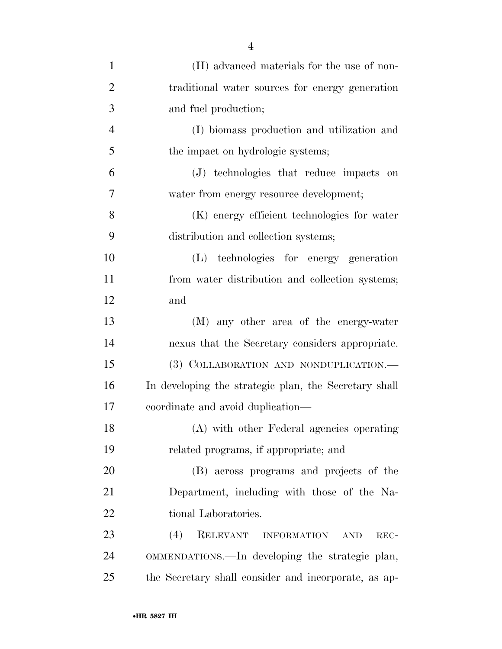| $\mathbf{1}$   | (H) advanced materials for the use of non-            |
|----------------|-------------------------------------------------------|
| $\overline{2}$ | traditional water sources for energy generation       |
| 3              | and fuel production;                                  |
| $\overline{4}$ | (I) biomass production and utilization and            |
| 5              | the impact on hydrologic systems;                     |
| 6              | (J) technologies that reduce impacts on               |
| 7              | water from energy resource development;               |
| 8              | (K) energy efficient technologies for water           |
| 9              | distribution and collection systems;                  |
| 10             | (L) technologies for energy generation                |
| 11             | from water distribution and collection systems;       |
| 12             | and                                                   |
| 13             | (M) any other area of the energy-water                |
| 14             | nexus that the Secretary considers appropriate.       |
| 15             | (3) COLLABORATION AND NONDUPLICATION.                 |
| 16             | In developing the strategic plan, the Secretary shall |
| 17             | coordinate and avoid duplication—                     |
| 18             | (A) with other Federal agencies operating             |
| 19             | related programs, if appropriate; and                 |
| 20             | (B) across programs and projects of the               |
| 21             | Department, including with those of the Na-           |
| 22             | tional Laboratories.                                  |
| 23             | RELEVANT INFORMATION<br>(4)<br><b>AND</b><br>REC-     |
| 24             | OMMENDATIONS.—In developing the strategic plan,       |
| 25             | the Secretary shall consider and incorporate, as ap-  |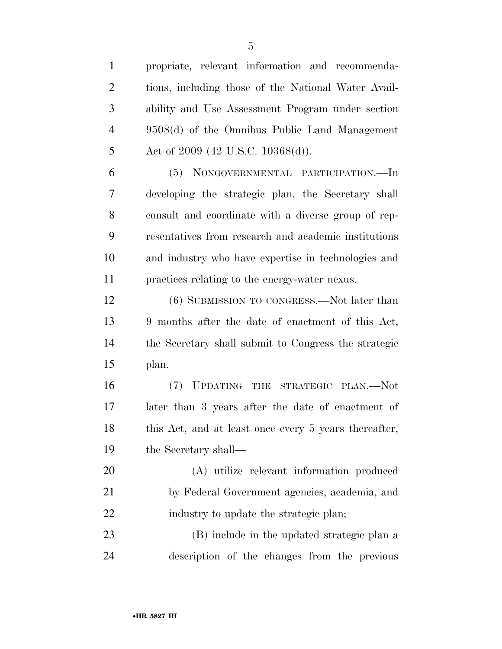propriate, relevant information and recommenda- tions, including those of the National Water Avail- ability and Use Assessment Program under section 9508(d) of the Omnibus Public Land Management 5 Act of 2009 (42 U.S.C. 10368(d)). (5) NONGOVERNMENTAL PARTICIPATION.—In developing the strategic plan, the Secretary shall consult and coordinate with a diverse group of rep- resentatives from research and academic institutions and industry who have expertise in technologies and practices relating to the energy-water nexus. (6) SUBMISSION TO CONGRESS.—Not later than 9 months after the date of enactment of this Act, the Secretary shall submit to Congress the strategic plan. (7) UPDATING THE STRATEGIC PLAN.—Not later than 3 years after the date of enactment of 18 this Act, and at least once every 5 years thereafter, the Secretary shall— (A) utilize relevant information produced by Federal Government agencies, academia, and 22 industry to update the strategic plan; (B) include in the updated strategic plan a

description of the changes from the previous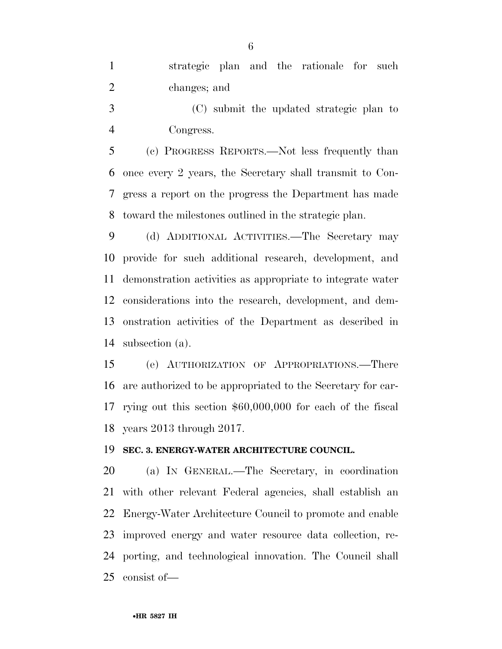|                |              |  | strategic plan and the rationale for such |  |
|----------------|--------------|--|-------------------------------------------|--|
| $\overline{2}$ | changes; and |  |                                           |  |

 (C) submit the updated strategic plan to Congress.

 (c) PROGRESS REPORTS.—Not less frequently than once every 2 years, the Secretary shall transmit to Con- gress a report on the progress the Department has made toward the milestones outlined in the strategic plan.

 (d) ADDITIONAL ACTIVITIES.—The Secretary may provide for such additional research, development, and demonstration activities as appropriate to integrate water considerations into the research, development, and dem- onstration activities of the Department as described in subsection (a).

 (e) AUTHORIZATION OF APPROPRIATIONS.—There are authorized to be appropriated to the Secretary for car- rying out this section \$60,000,000 for each of the fiscal years 2013 through 2017.

#### **SEC. 3. ENERGY-WATER ARCHITECTURE COUNCIL.**

 (a) IN GENERAL.—The Secretary, in coordination with other relevant Federal agencies, shall establish an Energy-Water Architecture Council to promote and enable improved energy and water resource data collection, re- porting, and technological innovation. The Council shall consist of—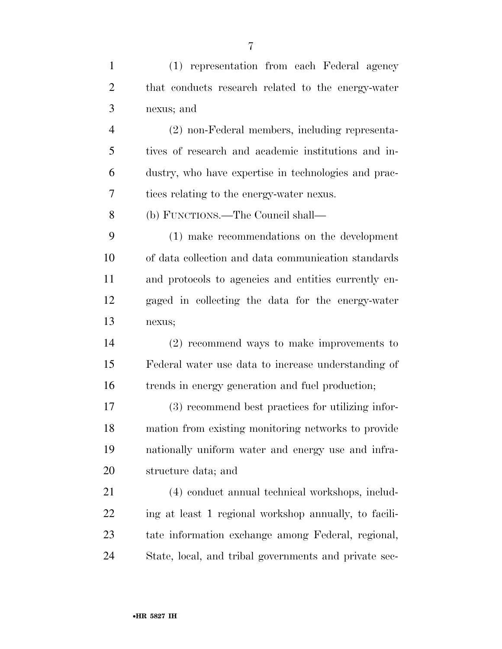| $\mathbf{1}$   | (1) representation from each Federal agency           |
|----------------|-------------------------------------------------------|
| $\overline{2}$ | that conducts research related to the energy-water    |
| 3              | nexus; and                                            |
| $\overline{4}$ | (2) non-Federal members, including representa-        |
| 5              | tives of research and academic institutions and in-   |
| 6              | dustry, who have expertise in technologies and prac-  |
| 7              | tices relating to the energy-water nexus.             |
| 8              | (b) FUNCTIONS.—The Council shall—                     |
| 9              | (1) make recommendations on the development           |
| 10             | of data collection and data communication standards   |
| 11             | and protocols to agencies and entities currently en-  |
| 12             | gaged in collecting the data for the energy-water     |
| 13             | nexus;                                                |
| 14             | $(2)$ recommend ways to make improvements to          |
| 15             | Federal water use data to increase understanding of   |
| 16             | trends in energy generation and fuel production;      |
| 17             | (3) recommend best practices for utilizing infor-     |
| 18             | mation from existing monitoring networks to provide   |
| 19             | nationally uniform water and energy use and infra-    |
| 20             | structure data; and                                   |
| 21             | (4) conduct annual technical workshops, includ-       |
| 22             | ing at least 1 regional workshop annually, to facili- |
| 23             | tate information exchange among Federal, regional,    |
| 24             | State, local, and tribal governments and private sec- |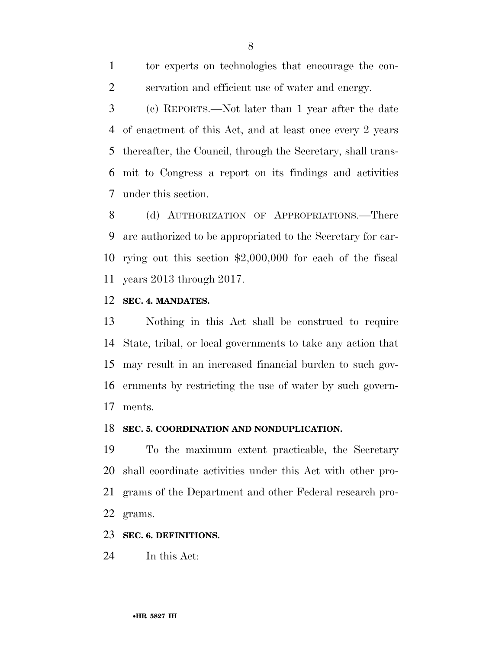tor experts on technologies that encourage the con-servation and efficient use of water and energy.

 (c) REPORTS.—Not later than 1 year after the date of enactment of this Act, and at least once every 2 years thereafter, the Council, through the Secretary, shall trans- mit to Congress a report on its findings and activities under this section.

8 (d) AUTHORIZATION OF APPROPRIATIONS.—There are authorized to be appropriated to the Secretary for car- rying out this section \$2,000,000 for each of the fiscal years 2013 through 2017.

### **SEC. 4. MANDATES.**

 Nothing in this Act shall be construed to require State, tribal, or local governments to take any action that may result in an increased financial burden to such gov- ernments by restricting the use of water by such govern-ments.

#### **SEC. 5. COORDINATION AND NONDUPLICATION.**

 To the maximum extent practicable, the Secretary shall coordinate activities under this Act with other pro- grams of the Department and other Federal research pro-grams.

## **SEC. 6. DEFINITIONS.**

In this Act: